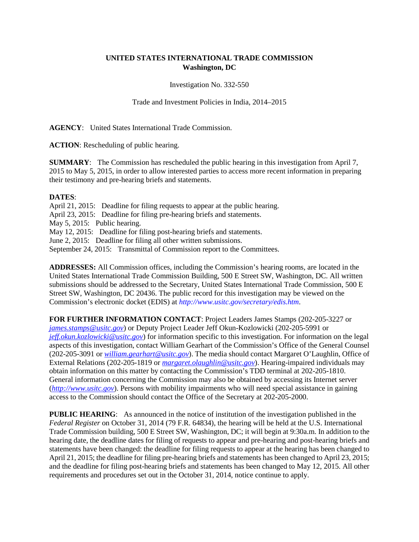## **UNITED STATES INTERNATIONAL TRADE COMMISSION Washington, DC**

Investigation No. 332-550

Trade and Investment Policies in India, 2014–2015

**AGENCY**: United States International Trade Commission.

**ACTION**: Rescheduling of public hearing.

**SUMMARY**: The Commission has rescheduled the public hearing in this investigation from April 7, 2015 to May 5, 2015, in order to allow interested parties to access more recent information in preparing their testimony and pre-hearing briefs and statements.

## **DATES**:

April 21, 2015: Deadline for filing requests to appear at the public hearing. April 23, 2015: Deadline for filing pre-hearing briefs and statements. May 5, 2015: Public hearing. May 12, 2015: Deadline for filing post-hearing briefs and statements. June 2, 2015: Deadline for filing all other written submissions. September 24, 2015: Transmittal of Commission report to the Committees.

**ADDRESSES:** All Commission offices, including the Commission's hearing rooms, are located in the United States International Trade Commission Building, 500 E Street SW, Washington, DC. All written submissions should be addressed to the Secretary, United States International Trade Commission, 500 E Street SW, Washington, DC 20436. The public record for this investigation may be viewed on the Commission's electronic docket (EDIS) at *http://www.usitc.gov/secretary/edis.htm*.

**FOR FURTHER INFORMATION CONTACT**: Project Leaders James Stamps (202-205-3227 or *[james.stamps@usitc.gov](mailto:james.stamps@usitc.gov)*) or Deputy Project Leader Jeff Okun-Kozlowicki (202-205-5991 or *[jeff.okun.kozlowicki@usitc.gov](mailto:jeff.okun.kozlowicki@usitc.gov)*) for information specific to this investigation. For information on the legal aspects of this investigation, contact William Gearhart of the Commission's Office of the General Counsel (202-205-3091 or *[william.gearhart@usitc.gov](mailto:william.gearhart@usitc.gov)*). The media should contact Margaret O'Laughlin, Office of External Relations (202-205-1819 or *[margaret.olaughlin@usitc.gov](mailto:margaret.olaughlin@usitc.gov)*). Hearing-impaired individuals may obtain information on this matter by contacting the Commission's TDD terminal at 202-205-1810. General information concerning the Commission may also be obtained by accessing its Internet server (*[http://www.usitc.gov](http://www.usitc.gov/)*). Persons with mobility impairments who will need special assistance in gaining access to the Commission should contact the Office of the Secretary at 202-205-2000.

**PUBLIC HEARING:** As announced in the notice of institution of the investigation published in the *Federal Register* on October 31, 2014 (79 F.R. 64834), the hearing will be held at the U.S. International Trade Commission building, 500 E Street SW, Washington, DC; it will begin at 9:30a.m. In addition to the hearing date, the deadline dates for filing of requests to appear and pre-hearing and post-hearing briefs and statements have been changed: the deadline for filing requests to appear at the hearing has been changed to April 21, 2015; the deadline for filing pre-hearing briefs and statements has been changed to April 23, 2015; and the deadline for filing post-hearing briefs and statements has been changed to May 12, 2015. All other requirements and procedures set out in the October 31, 2014, notice continue to apply.